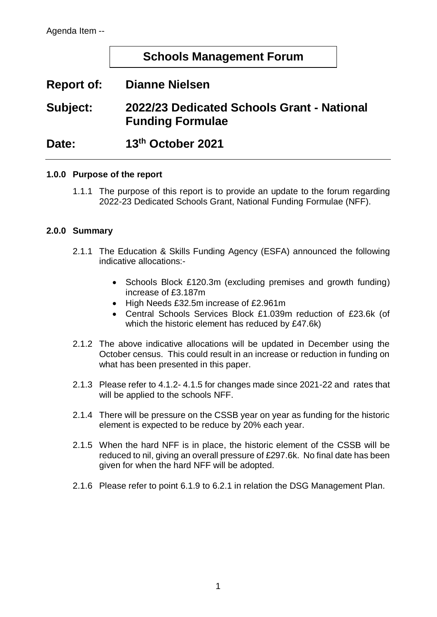## **Schools Management Forum**

# **Report of: Dianne Nielsen**

# **Subject: 2022/23 Dedicated Schools Grant - National Funding Formulae**

**Date: 13th October 2021**

### **1.0.0 Purpose of the report**

1.1.1 The purpose of this report is to provide an update to the forum regarding 2022-23 Dedicated Schools Grant, National Funding Formulae (NFF).

### **2.0.0 Summary**

- 2.1.1 The Education & Skills Funding Agency (ESFA) announced the following indicative allocations:-
	- Schools Block £120.3m (excluding premises and growth funding) increase of £3.187m
	- High Needs £32.5m increase of £2.961m
	- Central Schools Services Block £1.039m reduction of £23.6k (of which the historic element has reduced by £47.6k)
- 2.1.2 The above indicative allocations will be updated in December using the October census. This could result in an increase or reduction in funding on what has been presented in this paper.
- 2.1.3 Please refer to 4.1.2- 4.1.5 for changes made since 2021-22 and rates that will be applied to the schools NFF.
- 2.1.4 There will be pressure on the CSSB year on year as funding for the historic element is expected to be reduce by 20% each year.
- 2.1.5 When the hard NFF is in place, the historic element of the CSSB will be reduced to nil, giving an overall pressure of £297.6k. No final date has been given for when the hard NFF will be adopted.
- 2.1.6 Please refer to point 6.1.9 to 6.2.1 in relation the DSG Management Plan.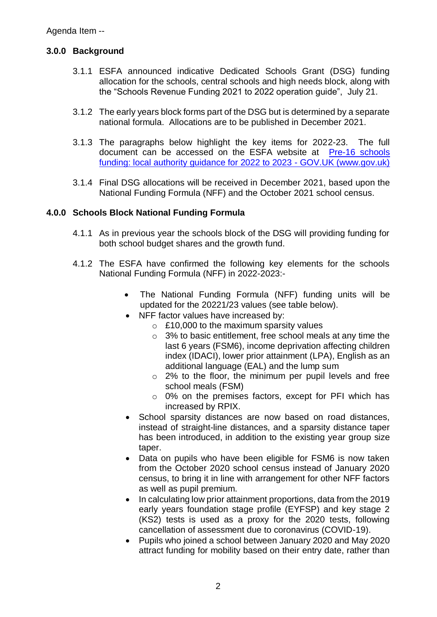### **3.0.0 Background**

- 3.1.1 ESFA announced indicative Dedicated Schools Grant (DSG) funding allocation for the schools, central schools and high needs block, along with the "Schools Revenue Funding 2021 to 2022 operation guide", July 21.
- 3.1.2 The early years block forms part of the DSG but is determined by a separate national formula. Allocations are to be published in December 2021.
- 3.1.3 The paragraphs below highlight the key items for 2022-23. The full document can be accessed on the ESFA website at [Pre-16 schools](https://www.gov.uk/government/publications/pre-16-schools-funding-local-authority-guidance-for-2022-to-2023)  [funding: local authority guidance for 2022 to 2023 -](https://www.gov.uk/government/publications/pre-16-schools-funding-local-authority-guidance-for-2022-to-2023) GOV.UK (www.gov.uk)
- 3.1.4 Final DSG allocations will be received in December 2021, based upon the National Funding Formula (NFF) and the October 2021 school census.

### **4.0.0 Schools Block National Funding Formula**

- 4.1.1 As in previous year the schools block of the DSG will providing funding for both school budget shares and the growth fund.
- 4.1.2 The ESFA have confirmed the following key elements for the schools National Funding Formula (NFF) in 2022-2023:-
	- The National Funding Formula (NFF) funding units will be updated for the 20221/23 values (see table below).
	- NFF factor values have increased by:
		- $\circ$  £10,000 to the maximum sparsity values
		- o 3% to basic entitlement, free school meals at any time the last 6 years (FSM6), income deprivation affecting children index (IDACI), lower prior attainment (LPA), English as an additional language (EAL) and the lump sum
		- $\circ$  2% to the floor, the minimum per pupil levels and free school meals (FSM)
		- o 0% on the premises factors, except for PFI which has increased by RPIX.
	- School sparsity distances are now based on road distances, instead of straight-line distances, and a sparsity distance taper has been introduced, in addition to the existing year group size taper.
	- Data on pupils who have been eligible for FSM6 is now taken from the October 2020 school census instead of January 2020 census, to bring it in line with arrangement for other NFF factors as well as pupil premium.
	- In calculating low prior attainment proportions, data from the 2019 early years foundation stage profile (EYFSP) and key stage 2 (KS2) tests is used as a proxy for the 2020 tests, following cancellation of assessment due to coronavirus (COVID-19).
	- Pupils who joined a school between January 2020 and May 2020 attract funding for mobility based on their entry date, rather than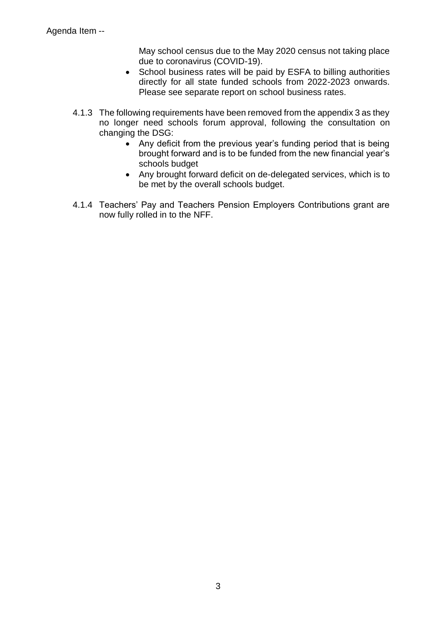May school census due to the May 2020 census not taking place due to coronavirus (COVID-19).

- School business rates will be paid by ESFA to billing authorities directly for all state funded schools from 2022-2023 onwards. Please see separate report on school business rates.
- 4.1.3 The following requirements have been removed from the appendix 3 as they no longer need schools forum approval, following the consultation on changing the DSG:
	- Any deficit from the previous year's funding period that is being brought forward and is to be funded from the new financial year's schools budget
	- Any brought forward deficit on de-delegated services, which is to be met by the overall schools budget.
- 4.1.4 Teachers' Pay and Teachers Pension Employers Contributions grant are now fully rolled in to the NFF.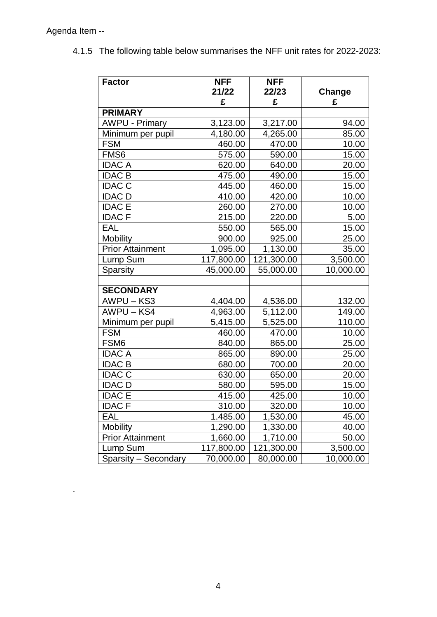.

| <b>Factor</b>           | <b>NFF</b><br>21/22 | <b>NFF</b><br>22/23 | Change    |
|-------------------------|---------------------|---------------------|-----------|
|                         | £                   | £                   | £         |
| <b>PRIMARY</b>          |                     |                     |           |
| <b>AWPU - Primary</b>   | 3,123.00            | 3,217.00            | 94.00     |
| Minimum per pupil       | 4,180.00            | 4,265.00            | 85.00     |
| <b>FSM</b>              | 460.00              | 470.00              | 10.00     |
| FMS <sub>6</sub>        | 575.00              | 590.00              | 15.00     |
| <b>IDAC A</b>           | 620.00              | 640.00              | 20.00     |
| <b>IDAC B</b>           | 475.00              | 490.00              | 15.00     |
| <b>IDAC C</b>           | 445.00              | 460.00              | 15.00     |
| <b>IDAC D</b>           | 410.00              | 420.00              | 10.00     |
| <b>IDAC E</b>           | 260.00              | 270.00              | 10.00     |
| <b>IDACF</b>            | 215.00              | 220.00              | 5.00      |
| <b>EAL</b>              | 550.00              | 565.00              | 15.00     |
| <b>Mobility</b>         | 900.00              | 925.00              | 25.00     |
| <b>Prior Attainment</b> | 1,095.00            | 1,130.00            | 35.00     |
| Lump Sum                | 117,800.00          | 121,300.00          | 3,500.00  |
| <b>Sparsity</b>         | 45,000.00           | 55,000.00           | 10,000.00 |
|                         |                     |                     |           |
| <b>SECONDARY</b>        |                     |                     |           |
| AWPU-KS3                | 4,404.00            | 4,536.00            | 132.00    |
| AWPU-KS4                | 4,963.00            | 5,112.00            | 149.00    |
| Minimum per pupil       | 5,415.00            | 5,525.00            | 110.00    |
| <b>FSM</b>              | 460.00              | 470.00              | 10.00     |
| FSM <sub>6</sub>        | 840.00              | 865.00              | 25.00     |
| <b>IDAC A</b>           | 865.00              | 890.00              | 25.00     |
| <b>IDAC B</b>           | 680.00              | 700.00              | 20.00     |
| <b>IDAC C</b>           | 630.00              | 650.00              | 20.00     |
| <b>IDAC D</b>           | 580.00              | 595.00              | 15.00     |
| <b>IDAC E</b>           | 415.00              | 425.00              | 10.00     |
| <b>IDAC F</b>           | 310.00              | 320.00              | 10.00     |
| EAL                     | 1.485.00            | 1,530.00            | 45.00     |
| <b>Mobility</b>         | 1,290.00            | 1,330.00            | 40.00     |
| <b>Prior Attainment</b> | 1,660.00            | 1,710.00            | 50.00     |
| Lump Sum                | 117,800.00          | 121,300.00          | 3,500.00  |
| Sparsity - Secondary    | 70,000.00           | 80,000.00           | 10,000.00 |

4.1.5 The following table below summarises the NFF unit rates for 2022-2023: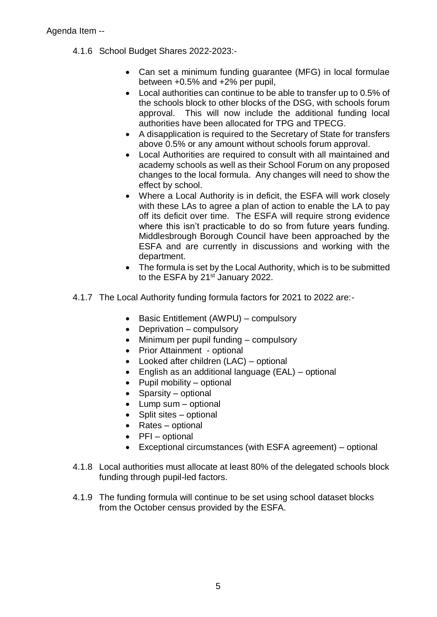- 4.1.6 School Budget Shares 2022-2023:-
	- Can set a minimum funding guarantee (MFG) in local formulae between +0.5% and +2% per pupil,
	- Local authorities can continue to be able to transfer up to 0.5% of the schools block to other blocks of the DSG, with schools forum approval. This will now include the additional funding local authorities have been allocated for TPG and TPECG.
	- A disapplication is required to the Secretary of State for transfers above 0.5% or any amount without schools forum approval.
	- Local Authorities are required to consult with all maintained and academy schools as well as their School Forum on any proposed changes to the local formula. Any changes will need to show the effect by school.
	- Where a Local Authority is in deficit, the ESFA will work closely with these LAs to agree a plan of action to enable the LA to pay off its deficit over time. The ESFA will require strong evidence where this isn't practicable to do so from future years funding. Middlesbrough Borough Council have been approached by the ESFA and are currently in discussions and working with the department.
	- The formula is set by the Local Authority, which is to be submitted to the ESFA by 21<sup>st</sup> January 2022.
- 4.1.7 The Local Authority funding formula factors for 2021 to 2022 are:-
	- Basic Entitlement (AWPU) compulsory
	- Deprivation compulsory
	- Minimum per pupil funding compulsory
	- Prior Attainment optional
	- Looked after children (LAC) optional
	- English as an additional language (EAL) optional
	- $\bullet$  Pupil mobility optional
	- Sparsity optional
	- Lump sum optional
	- Split sites optional
	- Rates optional
	- $\bullet$  PFI optional
	- Exceptional circumstances (with ESFA agreement) optional
- 4.1.8 Local authorities must allocate at least 80% of the delegated schools block funding through pupil-led factors.
- 4.1.9 The funding formula will continue to be set using school dataset blocks from the October census provided by the ESFA.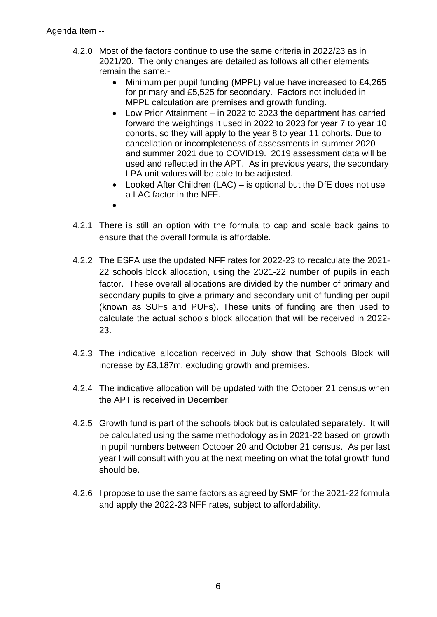- 4.2.0 Most of the factors continue to use the same criteria in 2022/23 as in 2021/20. The only changes are detailed as follows all other elements remain the same:-
	- Minimum per pupil funding (MPPL) value have increased to £4,265 for primary and £5,525 for secondary. Factors not included in MPPL calculation are premises and growth funding.
	- Low Prior Attainment in 2022 to 2023 the department has carried forward the weightings it used in 2022 to 2023 for year 7 to year 10 cohorts, so they will apply to the year 8 to year 11 cohorts. Due to cancellation or incompleteness of assessments in summer 2020 and summer 2021 due to COVID19. 2019 assessment data will be used and reflected in the APT. As in previous years, the secondary LPA unit values will be able to be adjusted.
	- Looked After Children (LAC) is optional but the DfE does not use a LAC factor in the NFF.
	- $\bullet$
- 4.2.1 There is still an option with the formula to cap and scale back gains to ensure that the overall formula is affordable.
- 4.2.2 The ESFA use the updated NFF rates for 2022-23 to recalculate the 2021- 22 schools block allocation, using the 2021-22 number of pupils in each factor. These overall allocations are divided by the number of primary and secondary pupils to give a primary and secondary unit of funding per pupil (known as SUFs and PUFs). These units of funding are then used to calculate the actual schools block allocation that will be received in 2022- 23.
- 4.2.3 The indicative allocation received in July show that Schools Block will increase by £3,187m, excluding growth and premises.
- 4.2.4 The indicative allocation will be updated with the October 21 census when the APT is received in December.
- 4.2.5 Growth fund is part of the schools block but is calculated separately. It will be calculated using the same methodology as in 2021-22 based on growth in pupil numbers between October 20 and October 21 census. As per last year I will consult with you at the next meeting on what the total growth fund should be.
- 4.2.6 I propose to use the same factors as agreed by SMF for the 2021-22 formula and apply the 2022-23 NFF rates, subject to affordability.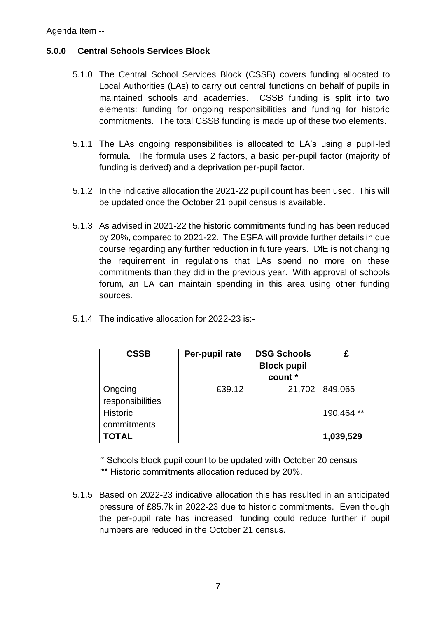## **5.0.0 Central Schools Services Block**

- 5.1.0 The Central School Services Block (CSSB) covers funding allocated to Local Authorities (LAs) to carry out central functions on behalf of pupils in maintained schools and academies. CSSB funding is split into two elements: funding for ongoing responsibilities and funding for historic commitments. The total CSSB funding is made up of these two elements.
- 5.1.1 The LAs ongoing responsibilities is allocated to LA's using a pupil-led formula. The formula uses 2 factors, a basic per-pupil factor (majority of funding is derived) and a deprivation per-pupil factor.
- 5.1.2 In the indicative allocation the 2021-22 pupil count has been used. This will be updated once the October 21 pupil census is available.
- 5.1.3 As advised in 2021-22 the historic commitments funding has been reduced by 20%, compared to 2021-22. The ESFA will provide further details in due course regarding any further reduction in future years. DfE is not changing the requirement in regulations that LAs spend no more on these commitments than they did in the previous year. With approval of schools forum, an LA can maintain spending in this area using other funding sources.
- 5.1.4 The indicative allocation for 2022-23 is:-

| <b>CSSB</b>      | Per-pupil rate | <b>DSG Schools</b> |            |
|------------------|----------------|--------------------|------------|
|                  |                | <b>Block pupil</b> |            |
|                  |                | count *            |            |
| Ongoing          | £39.12         | 21,702             | 849,065    |
| responsibilities |                |                    |            |
| Historic         |                |                    | 190,464 ** |
| commitments      |                |                    |            |
| <b>TOTAL</b>     |                |                    | 1,039,529  |

'\* Schools block pupil count to be updated with October 20 census '\*\* Historic commitments allocation reduced by 20%.

5.1.5 Based on 2022-23 indicative allocation this has resulted in an anticipated pressure of £85.7k in 2022-23 due to historic commitments. Even though the per-pupil rate has increased, funding could reduce further if pupil numbers are reduced in the October 21 census.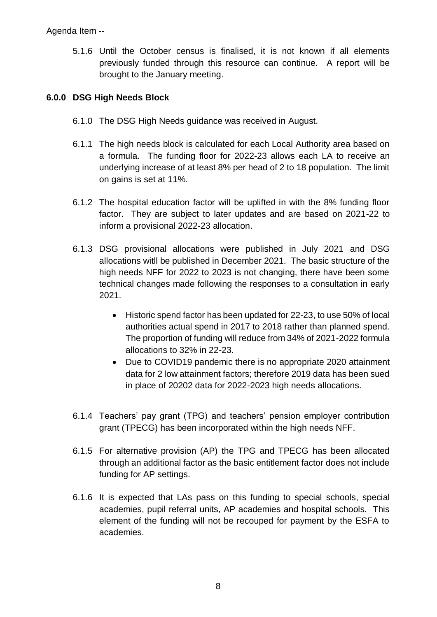5.1.6 Until the October census is finalised, it is not known if all elements previously funded through this resource can continue. A report will be brought to the January meeting.

### **6.0.0 DSG High Needs Block**

- 6.1.0 The DSG High Needs guidance was received in August.
- 6.1.1 The high needs block is calculated for each Local Authority area based on a formula. The funding floor for 2022-23 allows each LA to receive an underlying increase of at least 8% per head of 2 to 18 population. The limit on gains is set at 11%.
- 6.1.2 The hospital education factor will be uplifted in with the 8% funding floor factor. They are subject to later updates and are based on 2021-22 to inform a provisional 2022-23 allocation.
- 6.1.3 DSG provisional allocations were published in July 2021 and DSG allocations witll be published in December 2021. The basic structure of the high needs NFF for 2022 to 2023 is not changing, there have been some technical changes made following the responses to a consultation in early 2021.
	- Historic spend factor has been updated for 22-23, to use 50% of local authorities actual spend in 2017 to 2018 rather than planned spend. The proportion of funding will reduce from 34% of 2021-2022 formula allocations to 32% in 22-23.
	- Due to COVID19 pandemic there is no appropriate 2020 attainment data for 2 low attainment factors; therefore 2019 data has been sued in place of 20202 data for 2022-2023 high needs allocations.
- 6.1.4 Teachers' pay grant (TPG) and teachers' pension employer contribution grant (TPECG) has been incorporated within the high needs NFF.
- 6.1.5 For alternative provision (AP) the TPG and TPECG has been allocated through an additional factor as the basic entitlement factor does not include funding for AP settings.
- 6.1.6 It is expected that LAs pass on this funding to special schools, special academies, pupil referral units, AP academies and hospital schools. This element of the funding will not be recouped for payment by the ESFA to academies.